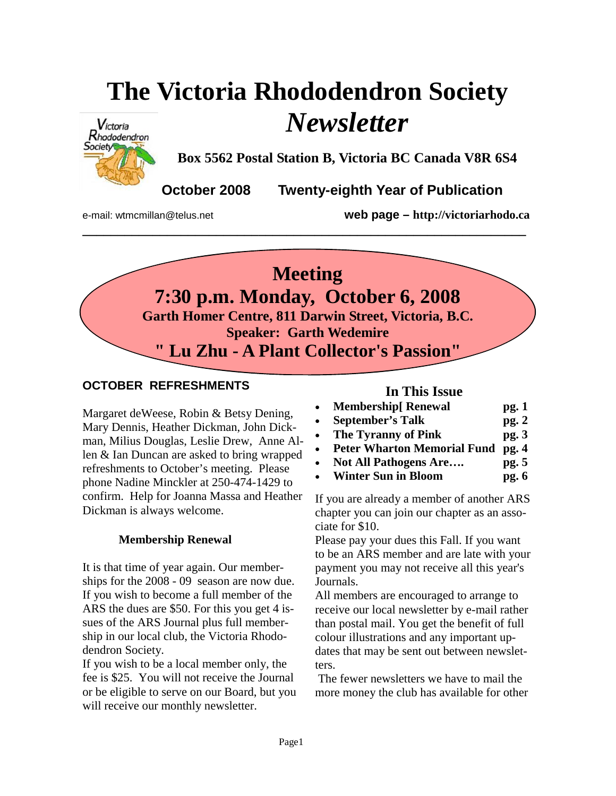# **The Victoria Rhododendron Society**  *Newsletter*

**\_\_\_\_\_\_\_\_\_\_\_\_\_\_\_\_\_\_\_\_\_\_\_\_\_\_\_\_\_\_\_\_\_\_\_\_\_\_\_\_\_\_\_\_\_\_\_\_\_\_\_\_\_\_\_\_\_\_\_\_\_\_\_** 



**Box 5562 Postal Station B, Victoria BC Canada V8R 6S4** 

**October 2008 Twenty-eighth Year of Publication** 

e-mail: wtmcmillan@telus.net **web page – http://victoriarhodo.ca**

## **Meeting 7:30 p.m. Monday, October 6, 2008 Garth Homer Centre, 811 Darwin Street, Victoria, B.C. Speaker: Garth Wedemire " Lu Zhu - A Plant Collector's Passion"**

## **OCTOBER REFRESHMENTS**

Margaret deWeese, Robin & Betsy Dening, Mary Dennis, Heather Dickman, John Dickman, Milius Douglas, Leslie Drew, Anne Allen & Ian Duncan are asked to bring wrapped refreshments to October's meeting. Please phone Nadine Minckler at 250-474-1429 to confirm. Help for Joanna Massa and Heather Dickman is always welcome.

## **Membership Renewal**

It is that time of year again. Our memberships for the 2008 - 09 season are now due. If you wish to become a full member of the ARS the dues are \$50. For this you get 4 issues of the ARS Journal plus full membership in our local club, the Victoria Rhododendron Society.

If you wish to be a local member only, the fee is \$25. You will not receive the Journal or be eligible to serve on our Board, but you will receive our monthly newsletter.

## **In This Issue**

- **Membership[ Renewal pg. 1**
- **September's Talk pg. 2**
- The Tyranny of Pink pg. 3
- **Peter Wharton Memorial Fund pg. 4**
- **Not All Pathogens Are…. pg. 5**
- **Winter Sun in Bloom pg. 6**

If you are already a member of another ARS chapter you can join our chapter as an associate for \$10.

Please pay your dues this Fall. If you want to be an ARS member and are late with your payment you may not receive all this year's Journals.

All members are encouraged to arrange to receive our local newsletter by e-mail rather than postal mail. You get the benefit of full colour illustrations and any important updates that may be sent out between newsletters.

 The fewer newsletters we have to mail the more money the club has available for other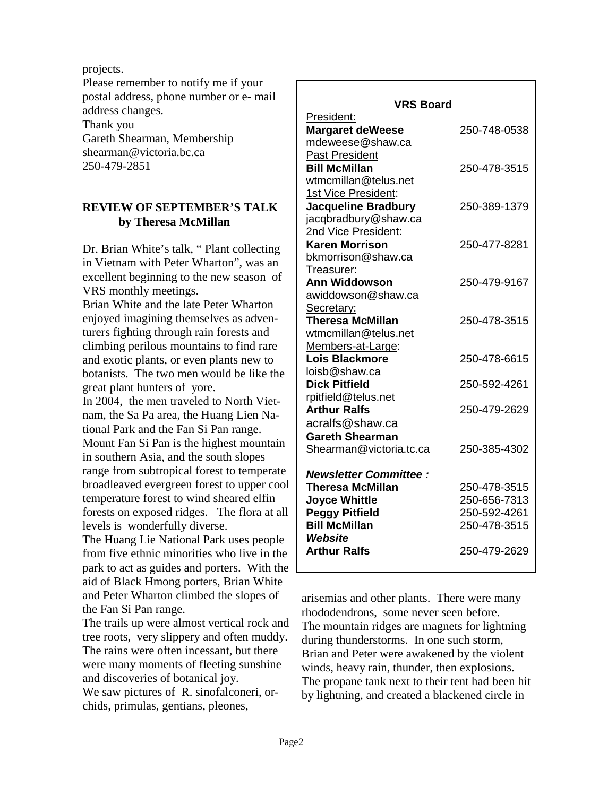projects.

Please remember to notify me if your postal address, phone number or e- mail address changes. Thank you Gareth Shearman, Membership shearman@victoria.bc.ca 250-479-2851

#### **REVIEW OF SEPTEMBER'S TALK by Theresa McMillan**

Dr. Brian White's talk, " Plant collecting in Vietnam with Peter Wharton", was an excellent beginning to the new season of VRS monthly meetings.

Brian White and the late Peter Wharton enjoyed imagining themselves as adventurers fighting through rain forests and climbing perilous mountains to find rare and exotic plants, or even plants new to botanists. The two men would be like the great plant hunters of yore.

In 2004, the men traveled to North Vietnam, the Sa Pa area, the Huang Lien National Park and the Fan Si Pan range. Mount Fan Si Pan is the highest mountain in southern Asia, and the south slopes range from subtropical forest to temperate broadleaved evergreen forest to upper cool temperature forest to wind sheared elfin forests on exposed ridges. The flora at all levels is wonderfully diverse.

The Huang Lie National Park uses people from five ethnic minorities who live in the park to act as guides and porters. With the aid of Black Hmong porters, Brian White and Peter Wharton climbed the slopes of the Fan Si Pan range.

The trails up were almost vertical rock and tree roots, very slippery and often muddy. The rains were often incessant, but there were many moments of fleeting sunshine and discoveries of botanical joy. We saw pictures of R. sinofalconeri, or-

chids, primulas, gentians, pleones,

| <b>VRS Board</b>                            |              |
|---------------------------------------------|--------------|
| President:                                  |              |
| <b>Margaret deWeese</b><br>mdeweese@shaw.ca | 250-748-0538 |
| <b>Past President</b>                       |              |
| <b>Bill McMillan</b>                        | 250-478-3515 |
| wtmcmillan@telus.net                        |              |
| 1st Vice President:                         |              |
| <b>Jacqueline Bradbury</b>                  | 250-389-1379 |
| jacqbradbury@shaw.ca                        |              |
| 2nd Vice President:                         |              |
| <b>Karen Morrison</b>                       | 250-477-8281 |
| bkmorrison@shaw.ca                          |              |
| Treasurer:                                  |              |
| <b>Ann Widdowson</b>                        | 250-479-9167 |
| awiddowson@shaw.ca                          |              |
| Secretary:                                  |              |
| <b>Theresa McMillan</b>                     | 250-478-3515 |
| wtmcmillan@telus.net                        |              |
| Members-at-Large:<br>Lois Blackmore         | 250-478-6615 |
| loisb@shaw.ca                               |              |
| <b>Dick Pitfield</b>                        | 250-592-4261 |
| rpitfield@telus.net                         |              |
| <b>Arthur Ralfs</b>                         | 250-479-2629 |
| acralfs@shaw.ca                             |              |
| <b>Gareth Shearman</b>                      |              |
| Shearman@victoria.tc.ca                     | 250-385-4302 |
|                                             |              |
| <b>Newsletter Committee:</b>                |              |
| <b>Theresa McMillan</b>                     | 250-478-3515 |
| <b>Joyce Whittle</b>                        | 250-656-7313 |
| <b>Peggy Pitfield</b>                       | 250-592-4261 |
| <b>Bill McMillan</b>                        | 250-478-3515 |
| Website                                     |              |
| <b>Arthur Ralfs</b>                         | 250-479-2629 |
|                                             |              |

arisemias and other plants. There were many rhododendrons, some never seen before. The mountain ridges are magnets for lightning during thunderstorms. In one such storm, Brian and Peter were awakened by the violent winds, heavy rain, thunder, then explosions. The propane tank next to their tent had been hit by lightning, and created a blackened circle in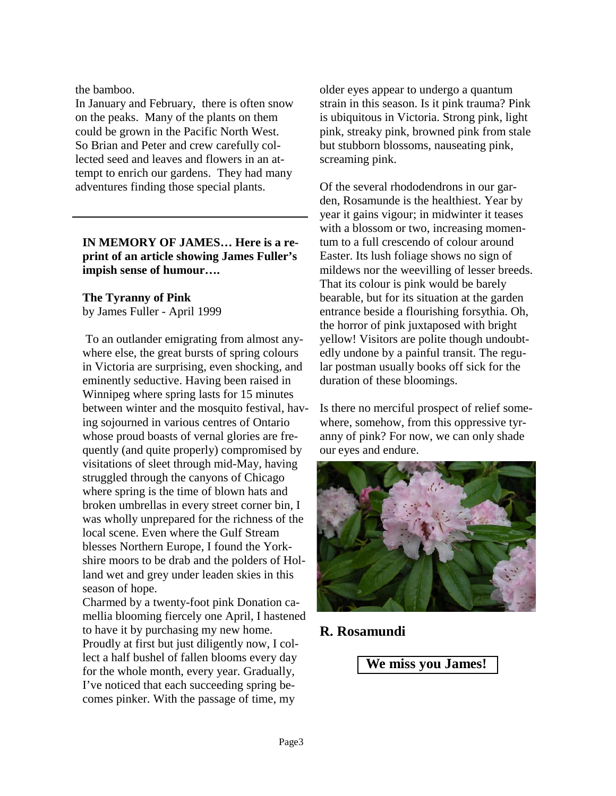the bamboo.

In January and February, there is often snow on the peaks. Many of the plants on them could be grown in the Pacific North West. So Brian and Peter and crew carefully collected seed and leaves and flowers in an attempt to enrich our gardens. They had many adventures finding those special plants.

### **IN MEMORY OF JAMES… Here is a reprint of an article showing James Fuller's impish sense of humour….**

## **The Tyranny of Pink**

by James Fuller - April 1999

 To an outlander emigrating from almost anywhere else, the great bursts of spring colours in Victoria are surprising, even shocking, and eminently seductive. Having been raised in Winnipeg where spring lasts for 15 minutes between winter and the mosquito festival, having sojourned in various centres of Ontario whose proud boasts of vernal glories are frequently (and quite properly) compromised by visitations of sleet through mid-May, having struggled through the canyons of Chicago where spring is the time of blown hats and broken umbrellas in every street corner bin, I was wholly unprepared for the richness of the local scene. Even where the Gulf Stream blesses Northern Europe, I found the Yorkshire moors to be drab and the polders of Holland wet and grey under leaden skies in this season of hope.

Charmed by a twenty-foot pink Donation camellia blooming fiercely one April, I hastened to have it by purchasing my new home. Proudly at first but just diligently now, I collect a half bushel of fallen blooms every day for the whole month, every year. Gradually, I've noticed that each succeeding spring becomes pinker. With the passage of time, my

older eyes appear to undergo a quantum strain in this season. Is it pink trauma? Pink is ubiquitous in Victoria. Strong pink, light pink, streaky pink, browned pink from stale but stubborn blossoms, nauseating pink, screaming pink.

Of the several rhododendrons in our garden, Rosamunde is the healthiest. Year by year it gains vigour; in midwinter it teases with a blossom or two, increasing momentum to a full crescendo of colour around Easter. Its lush foliage shows no sign of mildews nor the weevilling of lesser breeds. That its colour is pink would be barely bearable, but for its situation at the garden entrance beside a flourishing forsythia. Oh, the horror of pink juxtaposed with bright yellow! Visitors are polite though undoubtedly undone by a painful transit. The regular postman usually books off sick for the duration of these bloomings.

Is there no merciful prospect of relief somewhere, somehow, from this oppressive tyranny of pink? For now, we can only shade our eyes and endure.



## **R. Rosamundi**

**We miss you James!**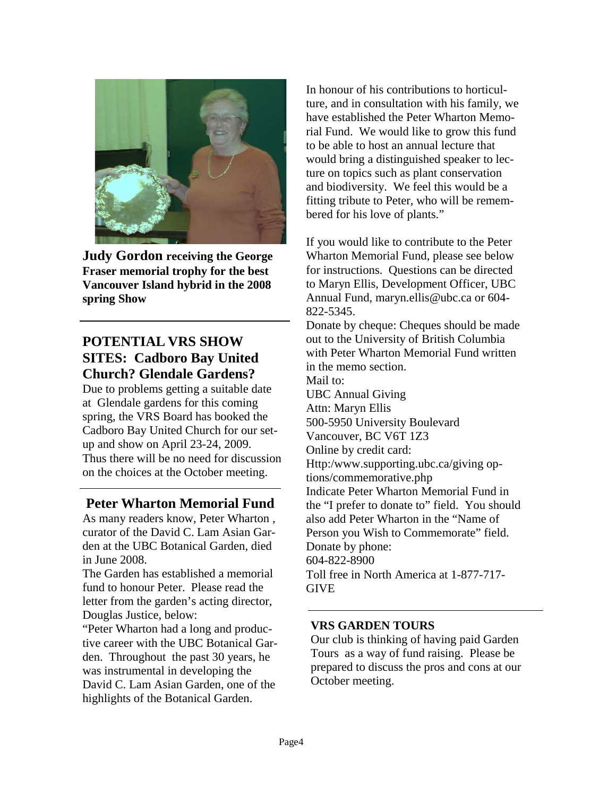

**Judy Gordon receiving the George Fraser memorial trophy for the best Vancouver Island hybrid in the 2008 spring Show**

## **POTENTIAL VRS SHOW SITES: Cadboro Bay United Church? Glendale Gardens?**

Due to problems getting a suitable date at Glendale gardens for this coming spring, the VRS Board has booked the Cadboro Bay United Church for our setup and show on April 23-24, 2009. Thus there will be no need for discussion on the choices at the October meeting.

## **Peter Wharton Memorial Fund**

As many readers know, Peter Wharton , curator of the David C. Lam Asian Garden at the UBC Botanical Garden, died in June 2008.

The Garden has established a memorial fund to honour Peter. Please read the letter from the garden's acting director, Douglas Justice, below:

"Peter Wharton had a long and productive career with the UBC Botanical Garden. Throughout the past 30 years, he was instrumental in developing the David C. Lam Asian Garden, one of the highlights of the Botanical Garden.

In honour of his contributions to horticulture, and in consultation with his family, we have established the Peter Wharton Memorial Fund. We would like to grow this fund to be able to host an annual lecture that would bring a distinguished speaker to lecture on topics such as plant conservation and biodiversity. We feel this would be a fitting tribute to Peter, who will be remembered for his love of plants."

If you would like to contribute to the Peter Wharton Memorial Fund, please see below for instructions. Questions can be directed to Maryn Ellis, Development Officer, UBC Annual Fund, maryn.ellis@ubc.ca or 604- 822-5345.

Donate by cheque: Cheques should be made out to the University of British Columbia with Peter Wharton Memorial Fund written in the memo section. Mail to: UBC Annual Giving Attn: Maryn Ellis 500-5950 University Boulevard Vancouver, BC V6T 1Z3 Online by credit card: Http:/www.supporting.ubc.ca/giving options/commemorative.php Indicate Peter Wharton Memorial Fund in the "I prefer to donate to" field. You should also add Peter Wharton in the "Name of Person you Wish to Commemorate" field. Donate by phone: 604-822-8900 Toll free in North America at 1-877-717- **GIVE** 

#### **VRS GARDEN TOURS**

Our club is thinking of having paid Garden Tours as a way of fund raising. Please be prepared to discuss the pros and cons at our October meeting.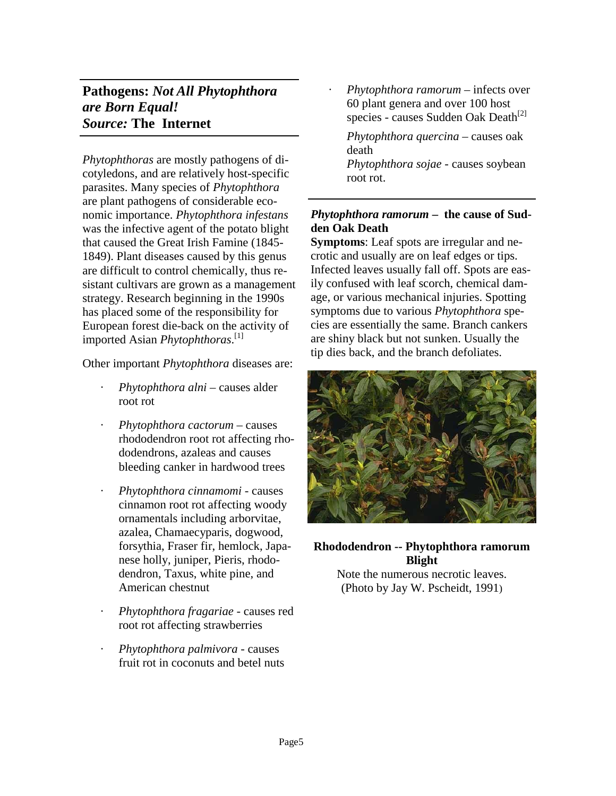## **Pathogens:** *Not All Phytophthora are Born Equal! Source:* **The Internet**

*Phytophthoras* are mostly pathogens of dicotyledons, and are relatively host-specific parasites. Many species of *Phytophthora* are plant pathogens of considerable economic importance. *Phytophthora infestans* was the infective agent of the potato blight that caused the Great Irish Famine (1845- 1849). Plant diseases caused by this genus are difficult to control chemically, thus resistant cultivars are grown as a management strategy. Research beginning in the 1990s has placed some of the responsibility for European forest die-back on the activity of imported Asian *Phytophthoras*. [1]

Other important *Phytophthora* diseases are:

- · *Phytophthora alni* causes alder root rot
- · *Phytophthora cactorum* causes rhododendron root rot affecting rhododendrons, azaleas and causes bleeding canker in hardwood trees
- · *Phytophthora cinnamomi* causes cinnamon root rot affecting woody ornamentals including arborvitae, azalea, Chamaecyparis, dogwood, forsythia, Fraser fir, hemlock, Japanese holly, juniper, Pieris, rhododendron, Taxus, white pine, and American chestnut
- · *Phytophthora fragariae* causes red root rot affecting strawberries
- · *Phytophthora palmivora* causes fruit rot in coconuts and betel nuts

· *Phytophthora ramorum* – infects over 60 plant genera and over 100 host species - causes Sudden Oak Death<sup>[2]</sup>

 *Phytophthora quercina* – causes oak death *Phytophthora sojae* - causes soybean root rot.

### *Phytophthora ramorum* **– the cause of Sudden Oak Death**

**Symptoms**: Leaf spots are irregular and necrotic and usually are on leaf edges or tips. Infected leaves usually fall off. Spots are easily confused with leaf scorch, chemical damage, or various mechanical injuries. Spotting symptoms due to various *Phytophthora* species are essentially the same. Branch cankers are shiny black but not sunken. Usually the tip dies back, and the branch defoliates.



### **Rhododendron -- Phytophthora ramorum Blight**  Note the numerous necrotic leaves.

(Photo by Jay W. Pscheidt, 1991)